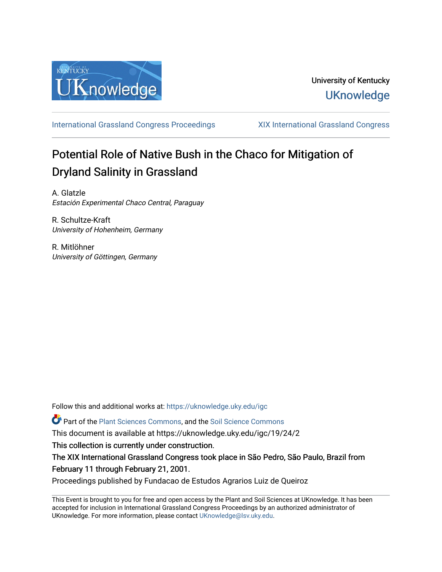

[International Grassland Congress Proceedings](https://uknowledge.uky.edu/igc) [XIX International Grassland Congress](https://uknowledge.uky.edu/igc/19) 

# Potential Role of Native Bush in the Chaco for Mitigation of Dryland Salinity in Grassland

A. Glatzle Estación Experimental Chaco Central, Paraguay

R. Schultze-Kraft University of Hohenheim, Germany

R. Mitlöhner University of Göttingen, Germany

Follow this and additional works at: [https://uknowledge.uky.edu/igc](https://uknowledge.uky.edu/igc?utm_source=uknowledge.uky.edu%2Figc%2F19%2F24%2F2&utm_medium=PDF&utm_campaign=PDFCoverPages) 

Part of the [Plant Sciences Commons](http://network.bepress.com/hgg/discipline/102?utm_source=uknowledge.uky.edu%2Figc%2F19%2F24%2F2&utm_medium=PDF&utm_campaign=PDFCoverPages), and the [Soil Science Commons](http://network.bepress.com/hgg/discipline/163?utm_source=uknowledge.uky.edu%2Figc%2F19%2F24%2F2&utm_medium=PDF&utm_campaign=PDFCoverPages) 

This document is available at https://uknowledge.uky.edu/igc/19/24/2

This collection is currently under construction.

The XIX International Grassland Congress took place in São Pedro, São Paulo, Brazil from February 11 through February 21, 2001.

Proceedings published by Fundacao de Estudos Agrarios Luiz de Queiroz

This Event is brought to you for free and open access by the Plant and Soil Sciences at UKnowledge. It has been accepted for inclusion in International Grassland Congress Proceedings by an authorized administrator of UKnowledge. For more information, please contact [UKnowledge@lsv.uky.edu](mailto:UKnowledge@lsv.uky.edu).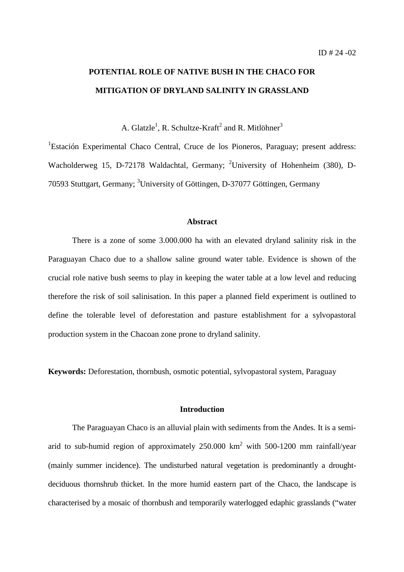## **POTENTIAL ROLE OF NATIVE BUSH IN THE CHACO FOR MITIGATION OF DRYLAND SALINITY IN GRASSLAND**

A. Glatzle<sup>1</sup>, R. Schultze-Kraft<sup>2</sup> and R. Mitlöhner<sup>3</sup>

<sup>1</sup>Estación Experimental Chaco Central, Cruce de los Pioneros, Paraguay; present address: Wacholderweg 15, D-72178 Waldachtal, Germany; <sup>2</sup>University of Hohenheim (380), D-70593 Stuttgart, Germany; <sup>3</sup>University of Göttingen, D-37077 Göttingen, Germany

### **Abstract**

There is a zone of some 3.000.000 ha with an elevated dryland salinity risk in the Paraguayan Chaco due to a shallow saline ground water table. Evidence is shown of the crucial role native bush seems to play in keeping the water table at a low level and reducing therefore the risk of soil salinisation. In this paper a planned field experiment is outlined to define the tolerable level of deforestation and pasture establishment for a sylvopastoral production system in the Chacoan zone prone to dryland salinity.

**Keywords:** Deforestation, thornbush, osmotic potential, sylvopastoral system, Paraguay

#### **Introduction**

The Paraguayan Chaco is an alluvial plain with sediments from the Andes. It is a semiarid to sub-humid region of approximately 250.000  $km^2$  with 500-1200 mm rainfall/year (mainly summer incidence). The undisturbed natural vegetation is predominantly a droughtdeciduous thornshrub thicket. In the more humid eastern part of the Chaco, the landscape is characterised by a mosaic of thornbush and temporarily waterlogged edaphic grasslands ("water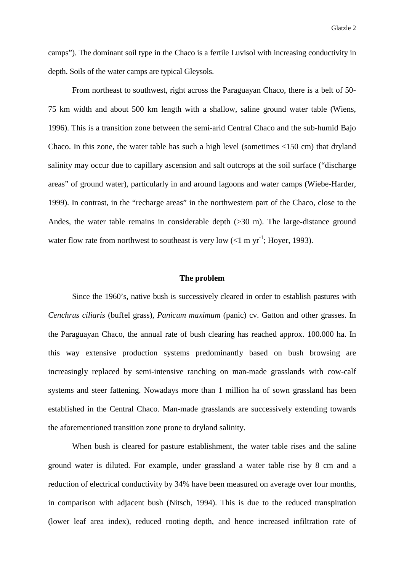camps"). The dominant soil type in the Chaco is a fertile Luvisol with increasing conductivity in depth. Soils of the water camps are typical Gleysols.

From northeast to southwest, right across the Paraguayan Chaco, there is a belt of 50- 75 km width and about 500 km length with a shallow, saline ground water table (Wiens, 1996). This is a transition zone between the semi-arid Central Chaco and the sub-humid Bajo Chaco. In this zone, the water table has such a high level (sometimes <150 cm) that dryland salinity may occur due to capillary ascension and salt outcrops at the soil surface ("discharge areas" of ground water), particularly in and around lagoons and water camps (Wiebe-Harder, 1999). In contrast, in the "recharge areas" in the northwestern part of the Chaco, close to the Andes, the water table remains in considerable depth (>30 m). The large-distance ground water flow rate from northwest to southeast is very low  $(<1$  m yr<sup>-1</sup>; Hoyer, 1993).

#### **The problem**

Since the 1960's, native bush is successively cleared in order to establish pastures with *Cenchrus ciliaris* (buffel grass), *Panicum maximum* (panic) cv. Gatton and other grasses. In the Paraguayan Chaco, the annual rate of bush clearing has reached approx. 100.000 ha. In this way extensive production systems predominantly based on bush browsing are increasingly replaced by semi-intensive ranching on man-made grasslands with cow-calf systems and steer fattening. Nowadays more than 1 million ha of sown grassland has been established in the Central Chaco. Man-made grasslands are successively extending towards the aforementioned transition zone prone to dryland salinity.

When bush is cleared for pasture establishment, the water table rises and the saline ground water is diluted. For example, under grassland a water table rise by 8 cm and a reduction of electrical conductivity by 34% have been measured on average over four months, in comparison with adjacent bush (Nitsch, 1994). This is due to the reduced transpiration (lower leaf area index), reduced rooting depth, and hence increased infiltration rate of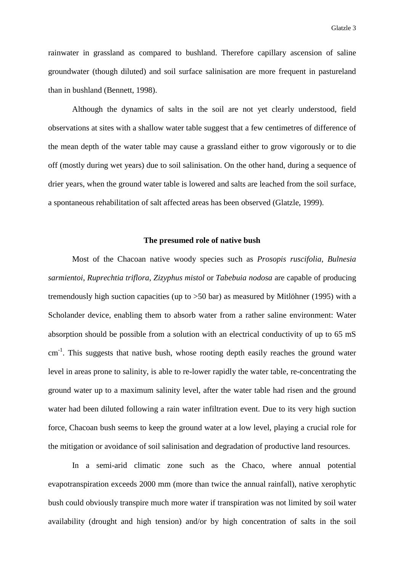rainwater in grassland as compared to bushland. Therefore capillary ascension of saline groundwater (though diluted) and soil surface salinisation are more frequent in pastureland than in bushland (Bennett, 1998).

Although the dynamics of salts in the soil are not yet clearly understood, field observations at sites with a shallow water table suggest that a few centimetres of difference of the mean depth of the water table may cause a grassland either to grow vigorously or to die off (mostly during wet years) due to soil salinisation. On the other hand, during a sequence of drier years, when the ground water table is lowered and salts are leached from the soil surface, a spontaneous rehabilitation of salt affected areas has been observed (Glatzle, 1999).

#### **The presumed role of native bush**

Most of the Chacoan native woody species such as *Prosopis ruscifolia*, *Bulnesia sarmientoi*, *Ruprechtia triflora*, *Zizyphus mistol* or *Tabebuia nodosa* are capable of producing tremendously high suction capacities (up to >50 bar) as measured by Mitlöhner (1995) with a Scholander device, enabling them to absorb water from a rather saline environment: Water absorption should be possible from a solution with an electrical conductivity of up to 65 mS cm<sup>-1</sup>. This suggests that native bush, whose rooting depth easily reaches the ground water level in areas prone to salinity, is able to re-lower rapidly the water table, re-concentrating the ground water up to a maximum salinity level, after the water table had risen and the ground water had been diluted following a rain water infiltration event. Due to its very high suction force, Chacoan bush seems to keep the ground water at a low level, playing a crucial role for the mitigation or avoidance of soil salinisation and degradation of productive land resources.

In a semi-arid climatic zone such as the Chaco, where annual potential evapotranspiration exceeds 2000 mm (more than twice the annual rainfall), native xerophytic bush could obviously transpire much more water if transpiration was not limited by soil water availability (drought and high tension) and/or by high concentration of salts in the soil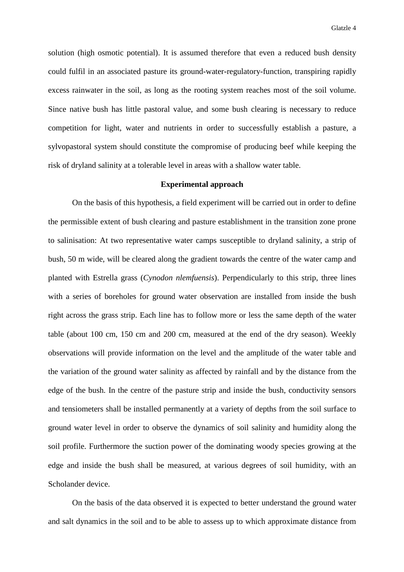solution (high osmotic potential). It is assumed therefore that even a reduced bush density could fulfil in an associated pasture its ground-water-regulatory-function, transpiring rapidly excess rainwater in the soil, as long as the rooting system reaches most of the soil volume. Since native bush has little pastoral value, and some bush clearing is necessary to reduce competition for light, water and nutrients in order to successfully establish a pasture, a sylvopastoral system should constitute the compromise of producing beef while keeping the risk of dryland salinity at a tolerable level in areas with a shallow water table.

#### **Experimental approach**

On the basis of this hypothesis, a field experiment will be carried out in order to define the permissible extent of bush clearing and pasture establishment in the transition zone prone to salinisation: At two representative water camps susceptible to dryland salinity, a strip of bush, 50 m wide, will be cleared along the gradient towards the centre of the water camp and planted with Estrella grass (*Cynodon nlemfuensis*). Perpendicularly to this strip, three lines with a series of boreholes for ground water observation are installed from inside the bush right across the grass strip. Each line has to follow more or less the same depth of the water table (about 100 cm, 150 cm and 200 cm, measured at the end of the dry season). Weekly observations will provide information on the level and the amplitude of the water table and the variation of the ground water salinity as affected by rainfall and by the distance from the edge of the bush. In the centre of the pasture strip and inside the bush, conductivity sensors and tensiometers shall be installed permanently at a variety of depths from the soil surface to ground water level in order to observe the dynamics of soil salinity and humidity along the soil profile. Furthermore the suction power of the dominating woody species growing at the edge and inside the bush shall be measured, at various degrees of soil humidity, with an Scholander device.

On the basis of the data observed it is expected to better understand the ground water and salt dynamics in the soil and to be able to assess up to which approximate distance from